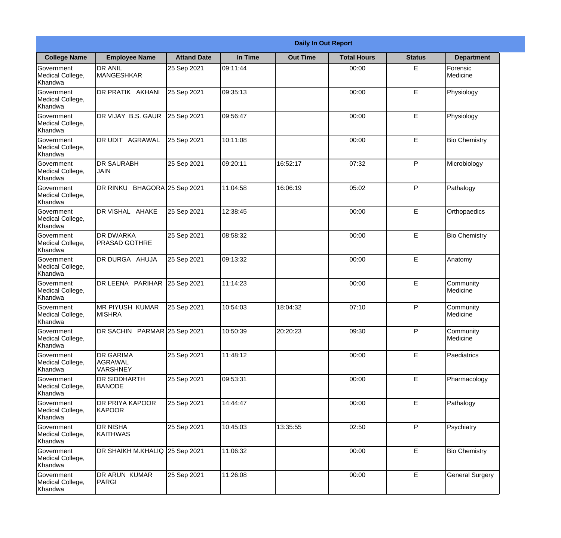|                                                  |                                                | <b>Daily In Out Report</b> |          |                 |                    |               |                              |  |  |  |
|--------------------------------------------------|------------------------------------------------|----------------------------|----------|-----------------|--------------------|---------------|------------------------------|--|--|--|
| <b>College Name</b>                              | <b>Employee Name</b>                           | <b>Attand Date</b>         | In Time  | <b>Out Time</b> | <b>Total Hours</b> | <b>Status</b> | <b>Department</b>            |  |  |  |
| Government<br>Medical College,<br>Khandwa        | <b>DR ANIL</b><br><b>MANGESHKAR</b>            | 25 Sep 2021                | 09:11:44 |                 | 00:00              | E             | Forensic<br>Medicine         |  |  |  |
| Government<br>Medical College,<br>Khandwa        | DR PRATIK AKHANI                               | 25 Sep 2021                | 09:35:13 |                 | 00:00              | E             | Physiology                   |  |  |  |
| Government<br>Medical College,<br>Khandwa        | DR VIJAY B.S. GAUR                             | 25 Sep 2021                | 09:56:47 |                 | 00:00              | E             | Physiology                   |  |  |  |
| Government<br>Medical College,<br>Khandwa        | IDR UDIT<br>AGRAWAL                            | 25 Sep 2021                | 10:11:08 |                 | 00:00              | E             | <b>Bio Chemistry</b>         |  |  |  |
| <b>Government</b><br>Medical College,<br>Khandwa | <b>DR SAURABH</b><br><b>JAIN</b>               | 25 Sep 2021                | 09:20:11 | 16:52:17        | 07:32              | P             | Microbiology                 |  |  |  |
| Government<br>Medical College,<br>Khandwa        | DR RINKU BHAGORA 25 Sep 2021                   |                            | 11:04:58 | 16:06:19        | 05:02              | P             | Pathalogy                    |  |  |  |
| <b>Government</b><br>Medical College,<br>Khandwa | DR VISHAL AHAKE                                | 25 Sep 2021                | 12:38:45 |                 | 00:00              | E             | Orthopaedics                 |  |  |  |
| Government<br>Medical College,<br>Khandwa        | <b>DR DWARKA</b><br><b>PRASAD GOTHRE</b>       | 25 Sep 2021                | 08:58:32 |                 | 00:00              | E             | <b>Bio Chemistry</b>         |  |  |  |
| Government<br>Medical College,<br>Khandwa        | DR DURGA AHUJA                                 | 25 Sep 2021                | 09:13:32 |                 | 00:00              | E             | Anatomy                      |  |  |  |
| Government<br>Medical College,<br>Khandwa        | DR LEENA PARIHAR                               | 25 Sep 2021                | 11:14:23 |                 | 00:00              | E             | Community<br><b>Medicine</b> |  |  |  |
| Government<br>Medical College,<br>Khandwa        | <b>MR PIYUSH KUMAR</b><br><b>MISHRA</b>        | 25 Sep 2021                | 10:54:03 | 18:04:32        | 07:10              | P             | Community<br>Medicine        |  |  |  |
| Government<br>Medical College,<br>Khandwa        | DR SACHIN PARMAR 25 Sep 2021                   |                            | 10:50:39 | 20:20:23        | 09:30              | P             | Community<br>Medicine        |  |  |  |
| Government<br>Medical College,<br>Khandwa        | <b>DR GARIMA</b><br>AGRAWAL<br><b>VARSHNEY</b> | 25 Sep 2021                | 11:48:12 |                 | 00:00              | E             | Paediatrics                  |  |  |  |
| Government<br>Medical College,<br>Khandwa        | <b>DR SIDDHARTH</b><br><b>BANODE</b>           | 25 Sep 2021                | 09:53:31 |                 | 00:00              | E             | Pharmacology                 |  |  |  |
| Government<br>Medical College,<br>Khandwa        | DR PRIYA KAPOOR<br>KAPOOR                      | 25 Sep 2021                | 14:44:47 |                 | 00:00              | $\mathsf E$   | Pathalogy                    |  |  |  |
| Government<br>Medical College,<br>Khandwa        | <b>DR NISHA</b><br><b>KAITHWAS</b>             | 25 Sep 2021                | 10:45:03 | 13:35:55        | 02:50              | P             | Psychiatry                   |  |  |  |
| Government<br>Medical College,<br>Khandwa        | DR SHAIKH M.KHALIQ 25 Sep 2021                 |                            | 11:06:32 |                 | 00:00              | E             | <b>Bio Chemistry</b>         |  |  |  |
| Government<br>Medical College,<br>Khandwa        | <b>DR ARUN KUMAR</b><br><b>PARGI</b>           | 25 Sep 2021                | 11:26:08 |                 | 00:00              | E             | <b>General Surgery</b>       |  |  |  |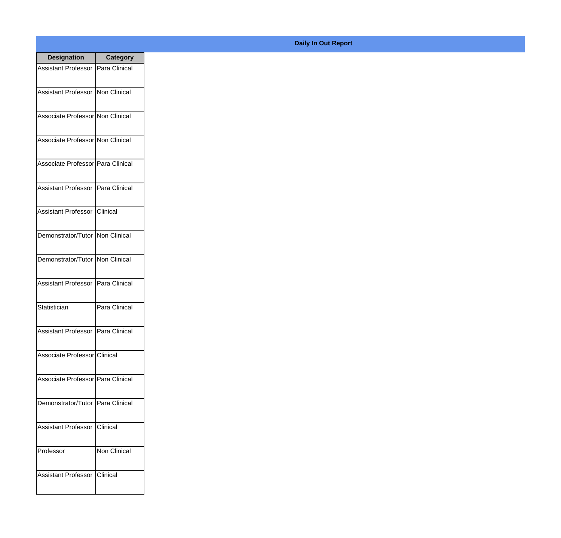| <b>Designation</b>                  | <b>Category</b> |
|-------------------------------------|-----------------|
| Assistant Professor   Para Clinical |                 |
| Assistant Professor   Non Clinical  |                 |
| Associate Professor Non Clinical    |                 |
| Associate Professor Non Clinical    |                 |
| Associate Professor Para Clinical   |                 |
| Assistant Professor   Para Clinical |                 |
| Assistant Professor   Clinical      |                 |
| Demonstrator/Tutor   Non Clinical   |                 |
| Demonstrator/Tutor   Non Clinical   |                 |
| <b>Assistant Professor</b>          | Para Clinical   |
| Statistician                        | Para Clinical   |
| Assistant Professor   Para Clinical |                 |
| Associate Professor Clinical        |                 |
| Associate Professor Para Clinical   |                 |
| Demonstrator/Tutor   Para Clinical  |                 |
| <b>Assistant Professor</b>          | <b>Clinical</b> |
| Professor                           | Non Clinical    |
| Assistant Professor   Clinical      |                 |

## **Daily In Out Report**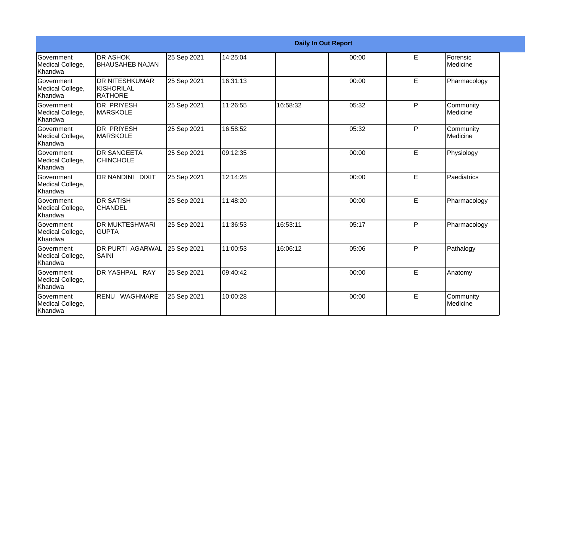|                                                  |                                                |             |          |          | <b>Daily In Out Report</b> |   |                                |
|--------------------------------------------------|------------------------------------------------|-------------|----------|----------|----------------------------|---|--------------------------------|
| Government<br>Medical College,<br>Khandwa        | <b>DR ASHOK</b><br><b>BHAUSAHEB NAJAN</b>      | 25 Sep 2021 | 14:25:04 |          | 00:00                      | E | Forensic<br><b>I</b> Medicine  |
| Government<br>Medical College,<br>Khandwa        | <b>DR NITESHKUMAR</b><br>KISHORILAL<br>RATHORE | 25 Sep 2021 | 16:31:13 |          | 00:00                      | E | Pharmacology                   |
| Government<br>Medical College,<br>Khandwa        | <b>DR PRIYESH</b><br><b>MARSKOLE</b>           | 25 Sep 2021 | 11:26:55 | 16:58:32 | 05:32                      | P | Community<br><b>I</b> Medicine |
| Government<br>Medical College,<br>Khandwa        | <b>DR PRIYESH</b><br>IMARSKOLE                 | 25 Sep 2021 | 16:58:52 |          | 05:32                      | P | Community<br>Medicine          |
| Government<br>Medical College,<br>Khandwa        | <b>DR SANGEETA</b><br><b>CHINCHOLE</b>         | 25 Sep 2021 | 09:12:35 |          | 00:00                      | E | Physiology                     |
| Government<br>Medical College,<br>Khandwa        | DR NANDINI DIXIT                               | 25 Sep 2021 | 12:14:28 |          | 00:00                      | E | Paediatrics                    |
| Government<br>Medical College,<br>Khandwa        | <b>DR SATISH</b><br><b>CHANDEL</b>             | 25 Sep 2021 | 11:48:20 |          | 00:00                      | E | Pharmacology                   |
| Government<br>Medical College,<br>Khandwa        | IDR MUKTESHWARI<br><b>GUPTA</b>                | 25 Sep 2021 | 11:36:53 | 16:53:11 | 05:17                      | P | Pharmacology                   |
| Government<br>Medical College,<br>Khandwa        | <b>DR PURTI AGARWAL</b><br><b>SAINI</b>        | 25 Sep 2021 | 11:00:53 | 16:06:12 | 05:06                      | P | Pathalogy                      |
| <b>Government</b><br>Medical College,<br>Khandwa | DR YASHPAL RAY                                 | 25 Sep 2021 | 09:40:42 |          | 00:00                      | E | Anatomy                        |
| Government<br>Medical College,<br>Khandwa        | RENU WAGHMARE                                  | 25 Sep 2021 | 10:00:28 |          | 00:00                      | E | Community<br>Medicine          |